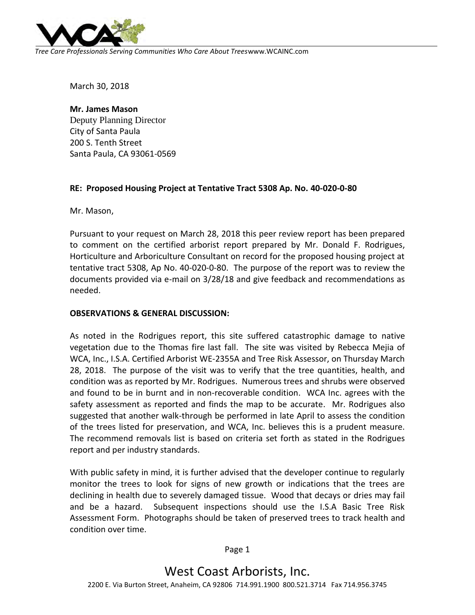

*Tree Care Professionals Serving Communities Who Care About Trees*www.WCAINC.com

March 30, 2018

**Mr. James Mason** Deputy Planning Director City of Santa Paula 200 S. Tenth Street Santa Paula, CA 93061-0569

## **RE: Proposed Housing Project at Tentative Tract 5308 Ap. No. 40-020-0-80**

Mr. Mason,

Pursuant to your request on March 28, 2018 this peer review report has been prepared to comment on the certified arborist report prepared by Mr. Donald F. Rodrigues, Horticulture and Arboriculture Consultant on record for the proposed housing project at tentative tract 5308, Ap No. 40-020-0-80. The purpose of the report was to review the documents provided via e-mail on 3/28/18 and give feedback and recommendations as needed.

## **OBSERVATIONS & GENERAL DISCUSSION:**

As noted in the Rodrigues report, this site suffered catastrophic damage to native vegetation due to the Thomas fire last fall. The site was visited by Rebecca Mejia of WCA, Inc., I.S.A. Certified Arborist WE-2355A and Tree Risk Assessor, on Thursday March 28, 2018. The purpose of the visit was to verify that the tree quantities, health, and condition was as reported by Mr. Rodrigues. Numerous trees and shrubs were observed and found to be in burnt and in non-recoverable condition. WCA Inc. agrees with the safety assessment as reported and finds the map to be accurate. Mr. Rodrigues also suggested that another walk-through be performed in late April to assess the condition of the trees listed for preservation, and WCA, Inc. believes this is a prudent measure. The recommend removals list is based on criteria set forth as stated in the Rodrigues report and per industry standards.

With public safety in mind, it is further advised that the developer continue to regularly monitor the trees to look for signs of new growth or indications that the trees are declining in health due to severely damaged tissue. Wood that decays or dries may fail and be a hazard. Subsequent inspections should use the I.S.A Basic Tree Risk Assessment Form. Photographs should be taken of preserved trees to track health and condition over time.

Page 1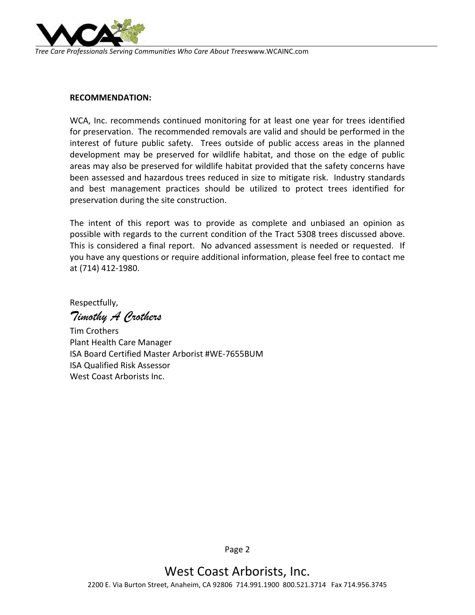

*Tree Care Professionals Serving Communities Who Care About Trees*www.WCAINC.com

## **RECOMMENDATION:**

WCA, Inc. recommends continued monitoring for at least one year for trees identified for preservation. The recommended removals are valid and should be performed in the interest of future public safety. Trees outside of public access areas in the planned development may be preserved for wildlife habitat, and those on the edge of public areas may also be preserved for wildlife habitat provided that the safety concerns have been assessed and hazardous trees reduced in size to mitigate risk. Industry standards and best management practices should be utilized to protect trees identified for preservation during the site construction.

The intent of this report was to provide as complete and unbiased an opinion as possible with regards to the current condition of the Tract 5308 trees discussed above. This is considered a final report. No advanced assessment is needed or requested. If you have any questions or require additional information, please feel free to contact me at (714) 412-1980.

Respectfully, *Timothy A Crothers*

Tim Crothers Plant Health Care Manager ISA Board Certified Master Arborist #WE-7655BUM ISA Qualified Risk Assessor West Coast Arborists Inc.

Page 2